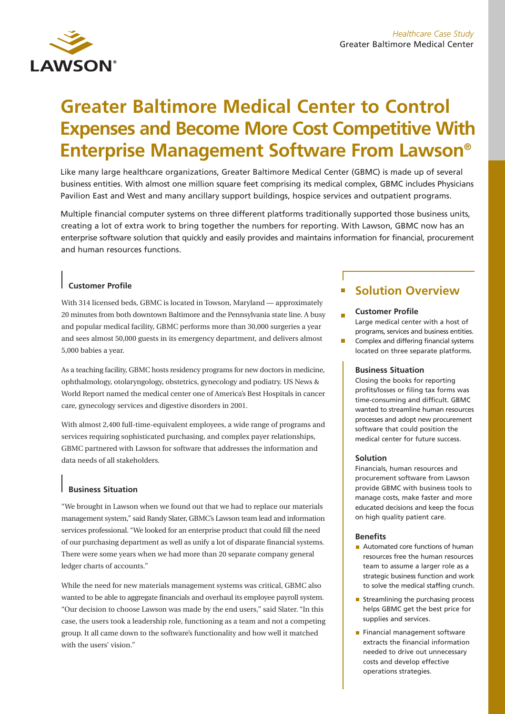# **Greater Baltimore Medical Center to Control Expenses and Become More Cost Competitive With Enterprise Management Software From Lawson®**

Like many large healthcare organizations, Greater Baltimore Medical Center (GBMC) is made up of several business entities. With almost one million square feet comprising its medical complex, GBMC includes Physicians Pavilion East and West and many ancillary support buildings, hospice services and outpatient programs.

Multiple financial computer systems on three different platforms traditionally supported those business units, creating a lot of extra work to bring together the numbers for reporting. With Lawson, GBMC now has an enterprise software solution that quickly and easily provides and maintains information for financial, procurement and human resources functions.

## **Customer Profile**

With 314 licensed beds, GBMC is located in Towson, Maryland — approximately 20 minutes from both downtown Baltimore and the Pennsylvania state line. A busy and popular medical facility, GBMC performs more than 30,000 surgeries a year and sees almost 50,000 guests in its emergency department, and delivers almost 5,000 babies a year.

As a teaching facility, GBMC hosts residency programs for new doctors in medicine, ophthalmology, otolaryngology, obstetrics, gynecology and podiatry. US News & World Report named the medical center one of America's Best Hospitals in cancer care, gynecology services and digestive disorders in 2001.

With almost 2,400 full-time-equivalent employees, a wide range of programs and services requiring sophisticated purchasing, and complex payer relationships, GBMC partnered with Lawson for software that addresses the information and data needs of all stakeholders.

### **Business Situation**

"We brought in Lawson when we found out that we had to replace our materials management system," said Randy Slater, GBMC's Lawson team lead and information services professional. "We looked for an enterprise product that could fill the need of our purchasing department as well as unify a lot of disparate financial systems. There were some years when we had more than 20 separate company general ledger charts of accounts."

While the need for new materials management systems was critical, GBMC also wanted to be able to aggregate financials and overhaul its employee payroll system. "Our decision to choose Lawson was made by the end users," said Slater. "In this case, the users took a leadership role, functioning as a team and not a competing group. It all came down to the software's functionality and how well it matched with the users' vision."

# **Solution Overview**

#### **Customer Profile** Large medical center with a host of

programs, services and business entities. Complex and differing financial systems

located on three separate platforms.

#### **Business Situation**

Closing the books for reporting profits/losses or filing tax forms was time-consuming and difficult. GBMC wanted to streamline human resources processes and adopt new procurement software that could position the medical center for future success.

#### **Solution**

Financials, human resources and procurement software from Lawson provide GBMC with business tools to manage costs, make faster and more educated decisions and keep the focus on high quality patient care.

#### **Benefits**

- Automated core functions of human resources free the human resources team to assume a larger role as a strategic business function and work to solve the medical staffing crunch.
- $\blacksquare$  Streamlining the purchasing process helps GBMC get the best price for supplies and services.
- Financial management software extracts the financial information needed to drive out unnecessary costs and develop effective operations strategies.